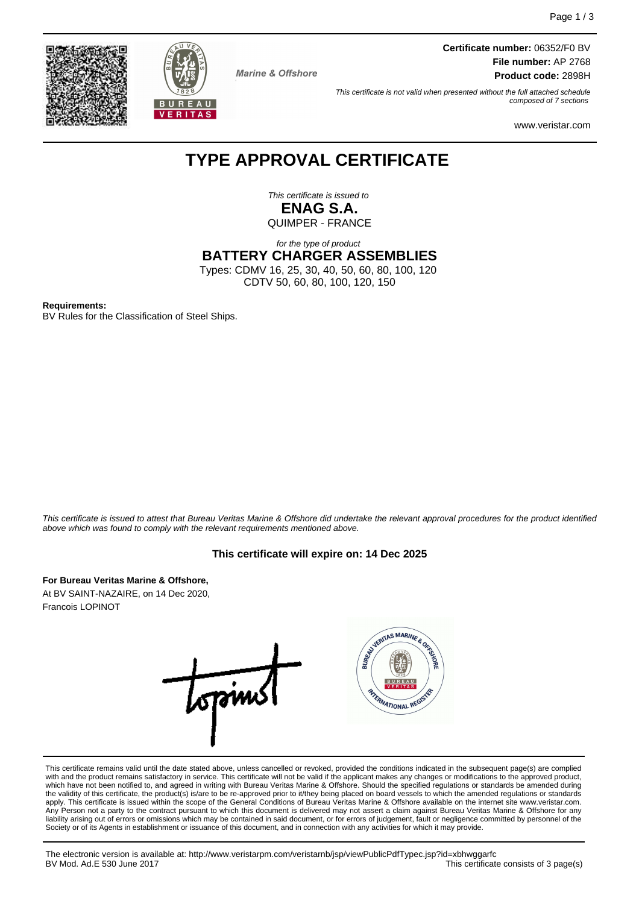



**Marine & Offshore** 

**Certificate number:** 06352/F0 BV **File number:** AP 2768 **Product code:** 2898H

This certificate is not valid when presented without the full attached schedule composed of 7 sections

www.veristar.com

## **TYPE APPROVAL CERTIFICATE**

This certificate is issued to **ENAG S.A.** QUIMPER - FRANCE

for the type of product

**BATTERY CHARGER ASSEMBLIES**

Types: CDMV 16, 25, 30, 40, 50, 60, 80, 100, 120 CDTV 50, 60, 80, 100, 120, 150

**Requirements:**

BV Rules for the Classification of Steel Ships.

This certificate is issued to attest that Bureau Veritas Marine & Offshore did undertake the relevant approval procedures for the product identified above which was found to comply with the relevant requirements mentioned above.

#### **This certificate will expire on: 14 Dec 2025**

**For Bureau Veritas Marine & Offshore,** At BV SAINT-NAZAIRE, on 14 Dec 2020,

Francois LOPINOT



This certificate remains valid until the date stated above, unless cancelled or revoked, provided the conditions indicated in the subsequent page(s) are complied with and the product remains satisfactory in service. This certificate will not be valid if the applicant makes any changes or modifications to the approved product, which have not been notified to, and agreed in writing with Bureau Veritas Marine & Offshore. Should the specified regulations or standards be amended during the validity of this certificate, the product(s) is/are to be re-approved prior to it/they being placed on board vessels to which the amended regulations or standards apply. This certificate is issued within the scope of the General Conditions of Bureau Veritas Marine & Offshore available on the internet site www.veristar.com. Any Person not a party to the contract pursuant to which this document is delivered may not assert a claim against Bureau Veritas Marine & Offshore for any liability arising out of errors or omissions which may be contained in said document, or for errors of judgement, fault or negligence committed by personnel of the Society or of its Agents in establishment or issuance of this document, and in connection with any activities for which it may provide.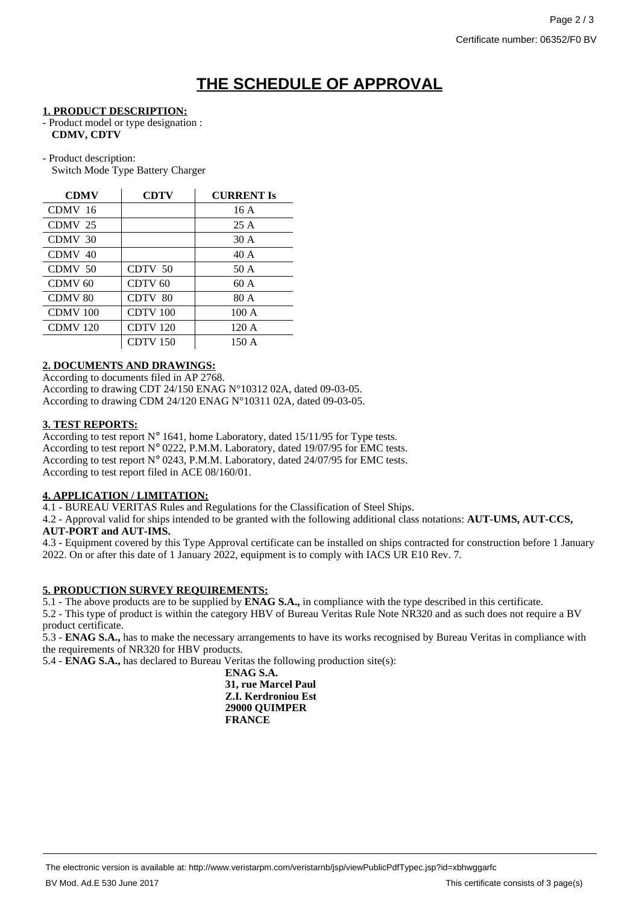# **THE SCHEDULE OF APPROVAL**

#### **1. PRODUCT DESCRIPTION:**

- Product model or type designation : **CDMV, CDTV**
- Product description: Switch Mode Type Battery Charger

| <b>CDMV</b>         | <b>CDTV</b>     | <b>CURRENT Is</b> |
|---------------------|-----------------|-------------------|
| CDMV 16             |                 | 16A               |
| CDMV <sub>25</sub>  |                 | 25A               |
| CDMV 30             |                 | 30 A              |
| CDMV 40             |                 | 40 A              |
| CDMV 50             | CDTV 50         | 50 A              |
| CDMV <sub>60</sub>  | CDTV 60         | 60A               |
| CDMV <sub>80</sub>  | CDTV 80         | 80 A              |
| CDMV <sub>100</sub> | CDTV 100        | 100A              |
| CDMV <sub>120</sub> | <b>CDTV 120</b> | 120A              |
|                     | CDTV 150        | 150 A             |

#### **2. DOCUMENTS AND DRAWINGS:**

According to documents filed in AP 2768. According to drawing CDT 24/150 ENAG N°10312 02A, dated 09-03-05. According to drawing CDM 24/120 ENAG N°10311 02A, dated 09-03-05.

#### **3. TEST REPORTS:**

According to test report  $N^{\circ}$  1641, home Laboratory, dated 15/11/95 for Type tests. According to test report N° 0222, P.M.M. Laboratory, dated 19/07/95 for EMC tests. According to test report N° 0243, P.M.M. Laboratory, dated 24/07/95 for EMC tests. According to test report filed in ACE 08/160/01.

## **4. APPLICATION / LIMITATION:**

4.1 - BUREAU VERITAS Rules and Regulations for the Classification of Steel Ships.

4.2 - Approval valid for ships intended to be granted with the following additional class notations: **AUT-UMS, AUT-CCS, AUT-PORT and AUT-IMS.**

4.3 - Equipment covered by this Type Approval certificate can be installed on ships contracted for construction before 1 January 2022. On or after this date of 1 January 2022, equipment is to comply with IACS UR E10 Rev. 7.

## **5. PRODUCTION SURVEY REQUIREMENTS:**

5.1 - The above products are to be supplied by **ENAG S.A.,** in compliance with the type described in this certificate.

5.2 - This type of product is within the category HBV of Bureau Veritas Rule Note NR320 and as such does not require a BV product certificate.

5.3 - **ENAG S.A.,** has to make the necessary arrangements to have its works recognised by Bureau Veritas in compliance with the requirements of NR320 for HBV products.

5.4 - **ENAG S.A.,** has declared to Bureau Veritas the following production site(s):

**ENAG S.A. 31, rue Marcel Paul Z.I. Kerdroniou Est 29000 QUIMPER FRANCE**